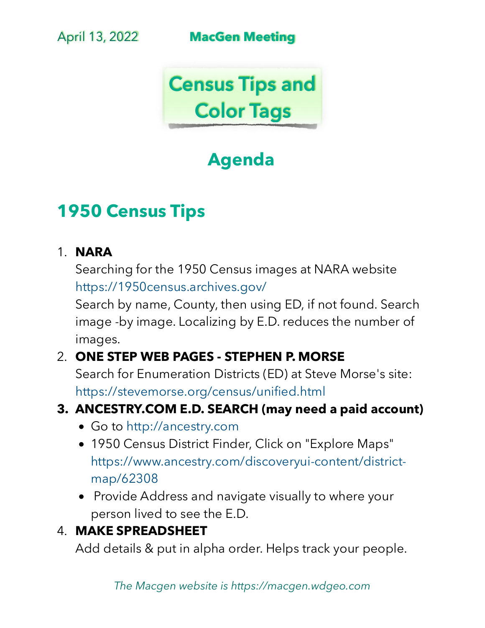April 13, 2022 **MacGen Meeting**



# **Agenda**

# **1950 Census Tips**

#### 1. **NARA**

Searching for the 1950 Census images at NARA website <https://1950census.archives.gov/>

Search by name, County, then using ED, if not found. Search image -by image. Localizing by E.D. reduces the number of images.

### 2. **ONE STEP WEB PAGES - STEPHEN P. MORSE**

Search for Enumeration Districts (ED) at Steve Morse's site: <https://stevemorse.org/census/unified.html>

#### **3. [ANCESTRY.COM](http://ancestry.com) E.D. SEARCH (may need a paid account)**

- Go to <http://ancestry.com>
- 1950 Census District Finder, Click on "Explore Maps" [https://www.ancestry.com/discoveryui-content/district](https://www.ancestry.com/discoveryui-content/district-map/62308)[map/62308](https://www.ancestry.com/discoveryui-content/district-map/62308)
- Provide Address and navigate visually to where your person lived to see the E.D.

### 4. **MAKE SPREADSHEET**

Add details & put in alpha order. Helps track your people.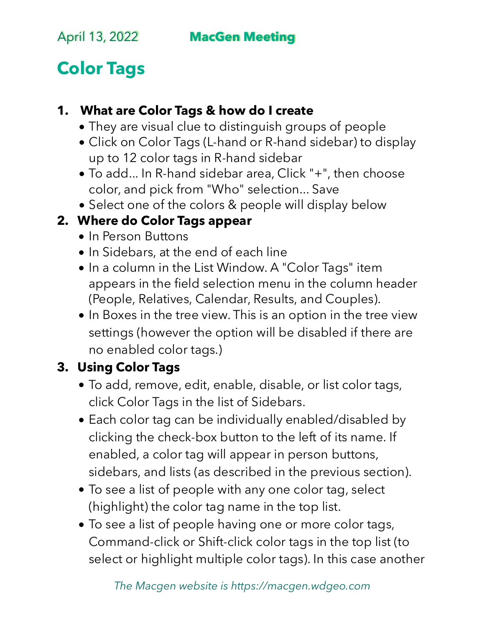# **Color Tags**

### **1. What are Color Tags & how do I create**

- They are visual clue to distinguish groups of people
- Click on Color Tags (L-hand or R-hand sidebar) to display up to 12 color tags in R-hand sidebar
- To add... In R-hand sidebar area, Click "+", then choose color, and pick from "Who" selection... Save
- Select one of the colors & people will display below

## **2. Where do Color Tags appear**

- In Person Buttons
- In Sidebars, at the end of each line
- In a column in the List Window. A "Color Tags" item appears in the field selection menu in the column header (People, Relatives, Calendar, Results, and Couples).
- In Boxes in the tree view. This is an option in the tree view settings (however the option will be disabled if there are no enabled color tags.)

## **3. Using Color Tags**

- To add, remove, edit, enable, disable, or list color tags, click Color Tags in the list of Sidebars.
- Each color tag can be individually enabled/disabled by clicking the check-box button to the left of its name. If enabled, a color tag will appear in person buttons, sidebars, and lists (as described in the previous section).
- To see a list of people with any one color tag, select (highlight) the color tag name in the top list.
- To see a list of people having one or more color tags, Command-click or Shift-click color tags in the top list (to select or highlight multiple color tags). In this case another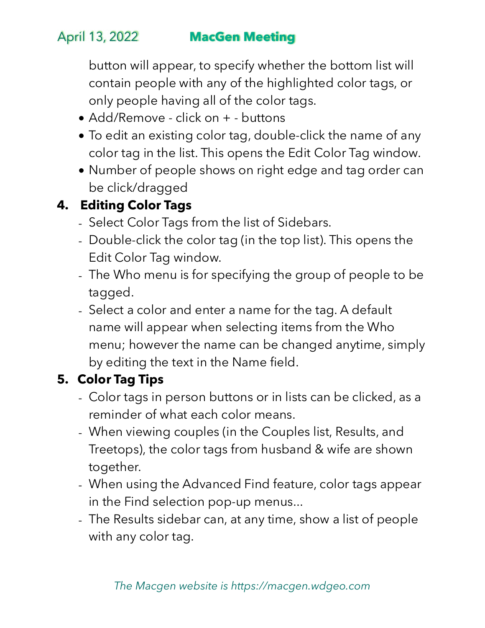# April 13, 2022 **MacGen Meeting**

button will appear, to specify whether the bottom list will contain people with any of the highlighted color tags, or only people having all of the color tags.

- Add/Remove click on + buttons
- To edit an existing color tag, double-click the name of any color tag in the list. This opens the Edit Color Tag window.
- Number of people shows on right edge and tag order can be click/dragged

# **4. Editing Color Tags**

- Select Color Tags from the list of Sidebars.
- Double-click the color tag (in the top list). This opens the Edit Color Tag window.
- The Who menu is for specifying the group of people to be tagged.
- Select a color and enter a name for the tag. A default name will appear when selecting items from the Who menu; however the name can be changed anytime, simply by editing the text in the Name field.

## **5. Color Tag Tips**

- Color tags in person buttons or in lists can be clicked, as a reminder of what each color means.
- When viewing couples (in the Couples list, Results, and Treetops), the color tags from husband & wife are shown together.
- When using the Advanced Find feature, color tags appear in the Find selection pop-up menus...
- The Results sidebar can, at any time, show a list of people with any color tag.